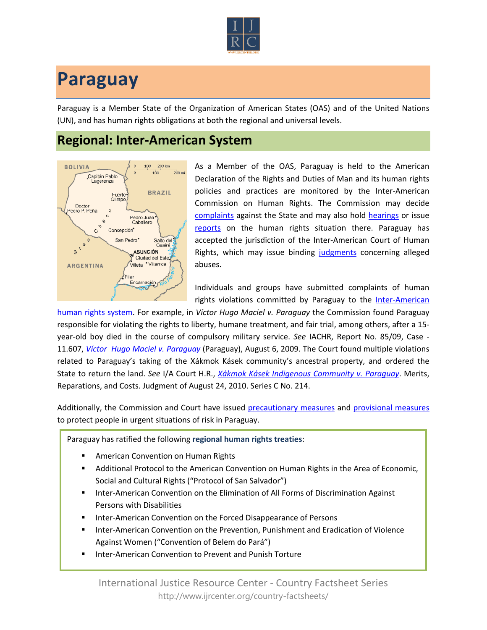

## **Paraguay**

Paraguay is a Member State of the Organization of American States (OAS) and of the United Nations (UN), and has human rights obligations at both the regional and universal levels.

## **Regional: Inter-American System**



As a Member of the OAS, Paraguay is held to the American Declaration of the Rights and Duties of Man and its human rights policies and practices are monitored by the Inter-American Commission on Human Rights. The Commission may decide [complaints](http://www.oas.org/en/iachr/decisions/merits.asp) against the State and may also hold [hearings](http://www.oas.org/es/cidh/audiencias/advanced.aspx?lang=en) or issue [reports](http://www.oas.org/en/iachr/reports/country.asp) on the human rights situation there. Paraguay has accepted the jurisdiction of the Inter-American Court of Human Rights, which may issue binding [judgments](http://www.corteidh.or.cr/cf/Jurisprudencia2/busqueda_casos_contenciosos.cfm?lang=en) concerning alleged abuses.

Individuals and groups have submitted complaints of human rights violations committed by Paraguay to the [Inter-American](http://www.ijrcenter.org/regional/inter-american-system/) 

[human rights system.](http://www.ijrcenter.org/regional/inter-american-system/) For example, in *Víctor Hugo Maciel v. Paraguay* the Commission found Paraguay responsible for violating the rights to liberty, humane treatment, and fair trial, among others, after a 15 year-old boy died in the course of compulsory military service. *See* IACHR, Report No. 85/09, Case - 11.607, *[Víctor Hugo Maciel v. Paraguay](http://www.cidh.org/annualrep/2009eng/Paraguay11607eng.htm)* (Paraguay), August 6, 2009. The Court found multiple violations related to Paraguay's taking of the Xákmok Kásek community's ancestral property, and ordered the State to return the land. *See* I/A Court H.R., *[Xákmok Kásek Indigenous Community v. Paraguay](http://www.corteidh.or.cr/docs/casos/articulos/seriec_214_ing.doc)*. Merits, Reparations, and Costs. Judgment of August 24, 2010. Series C No. 214.

Additionally, the Commission and Court have issued [precautionary measures](http://www.oas.org/en/iachr/decisions/precautionary.asp) and [provisional measures](http://www.corteidh.or.cr/cf/Jurisprudencia2/busqueda_medidas_provisionales.cfm?lang=en) to protect people in urgent situations of risk in Paraguay.

Paraguay has ratified the following **regional human rights treaties**:

- American Convention on Human Rights
- Additional Protocol to the American Convention on Human Rights in the Area of Economic, Social and Cultural Rights ("Protocol of San Salvador")
- **Inter-American Convention on the Elimination of All Forms of Discrimination Against** Persons with Disabilities
- Inter-American Convention on the Forced Disappearance of Persons
- Inter-American Convention on the Prevention, Punishment and Eradication of Violence Against Women ("Convention of Belem do Pará")
- Inter-American Convention to Prevent and Punish Torture